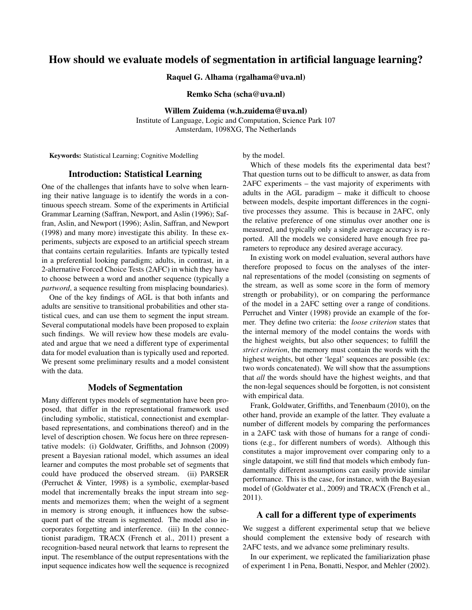# How should we evaluate models of segmentation in artificial language learning?

Raquel G. Alhama (rgalhama@uva.nl)

Remko Scha (scha@uva.nl)

Willem Zuidema (w.h.zuidema@uva.nl)

Institute of Language, Logic and Computation, Science Park 107 Amsterdam, 1098XG, The Netherlands

Keywords: Statistical Learning; Cognitive Modelling

by the model.

# Introduction: Statistical Learning

One of the challenges that infants have to solve when learning their native language is to identify the words in a continuous speech stream. Some of the experiments in Artificial Grammar Learning (Saffran, Newport, and Aslin (1996); Saffran, Aslin, and Newport (1996); Aslin, Saffran, and Newport (1998) and many more) investigate this ability. In these experiments, subjects are exposed to an artificial speech stream that contains certain regularities. Infants are typically tested in a preferential looking paradigm; adults, in contrast, in a 2-alternative Forced Choice Tests (2AFC) in which they have to choose between a word and another sequence (typically a *partword*, a sequence resulting from misplacing boundaries).

One of the key findings of AGL is that both infants and adults are sensitive to transitional probabilities and other statistical cues, and can use them to segment the input stream. Several computational models have been proposed to explain such findings. We will review how these models are evaluated and argue that we need a different type of experimental data for model evaluation than is typically used and reported. We present some preliminary results and a model consistent with the data.

# Models of Segmentation

Many different types models of segmentation have been proposed, that differ in the representational framework used (including symbolic, statistical, connectionist and exemplarbased representations, and combinations thereof) and in the level of description chosen. We focus here on three representative models: (i) Goldwater, Griffiths, and Johnson (2009) present a Bayesian rational model, which assumes an ideal learner and computes the most probable set of segments that could have produced the observed stream. (ii) PARSER (Perruchet & Vinter, 1998) is a symbolic, exemplar-based model that incrementally breaks the input stream into segments and memorizes them; when the weight of a segment in memory is strong enough, it influences how the subsequent part of the stream is segmented. The model also incorporates forgetting and interference. (iii) In the connectionist paradigm, TRACX (French et al., 2011) present a recognition-based neural network that learns to represent the input. The resemblance of the output representations with the input sequence indicates how well the sequence is recognized

Which of these models fits the experimental data best? That question turns out to be difficult to answer, as data from 2AFC experiments – the vast majority of experiments with adults in the AGL paradigm – make it difficult to choose between models, despite important differences in the cognitive processes they assume. This is because in 2AFC, only the relative preference of one stimulus over another one is measured, and typically only a single average accuracy is reported. All the models we considered have enough free parameters to reproduce any desired average accuracy.

In existing work on model evaluation, several authors have therefore proposed to focus on the analyses of the internal representations of the model (consisting on segments of the stream, as well as some score in the form of memory strength or probability), or on comparing the performance of the model in a 2AFC setting over a range of conditions. Perruchet and Vinter (1998) provide an example of the former. They define two criteria: the *loose criterion* states that the internal memory of the model contains the words with the highest weights, but also other sequences; to fulfill the *strict criterion*, the memory must contain the words with the highest weights, but other 'legal' sequences are possible (ex: two words concatenated). We will show that the assumptions that *all* the words should have the highest weights, and that the non-legal sequences should be forgotten, is not consistent with empirical data.

Frank, Goldwater, Griffiths, and Tenenbaum (2010), on the other hand, provide an example of the latter. They evaluate a number of different models by comparing the performances in a 2AFC task with those of humans for a range of conditions (e.g., for different numbers of words). Although this constitutes a major improvement over comparing only to a single datapoint, we still find that models which embody fundamentally different assumptions can easily provide similar performance. This is the case, for instance, with the Bayesian model of (Goldwater et al., 2009) and TRACX (French et al., 2011).

#### A call for a different type of experiments

We suggest a different experimental setup that we believe should complement the extensive body of research with 2AFC tests, and we advance some preliminary results.

In our experiment, we replicated the familiarization phase of experiment 1 in Pena, Bonatti, Nespor, and Mehler (2002).